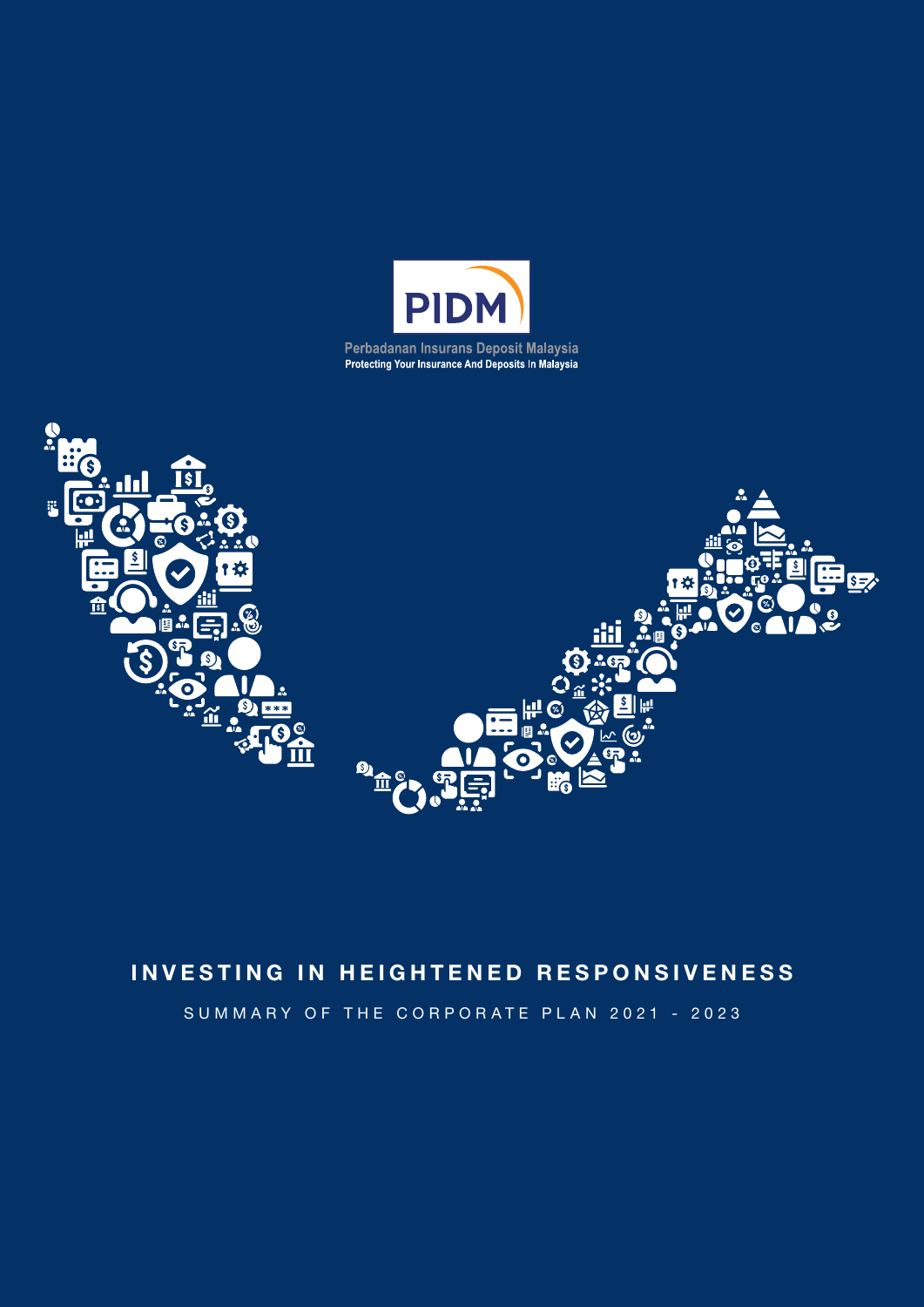



# INVESTING IN HEIGHTENED RESPONSIVENESS

SUMMARY OF THE CORPORATE PLAN 2021 - 2023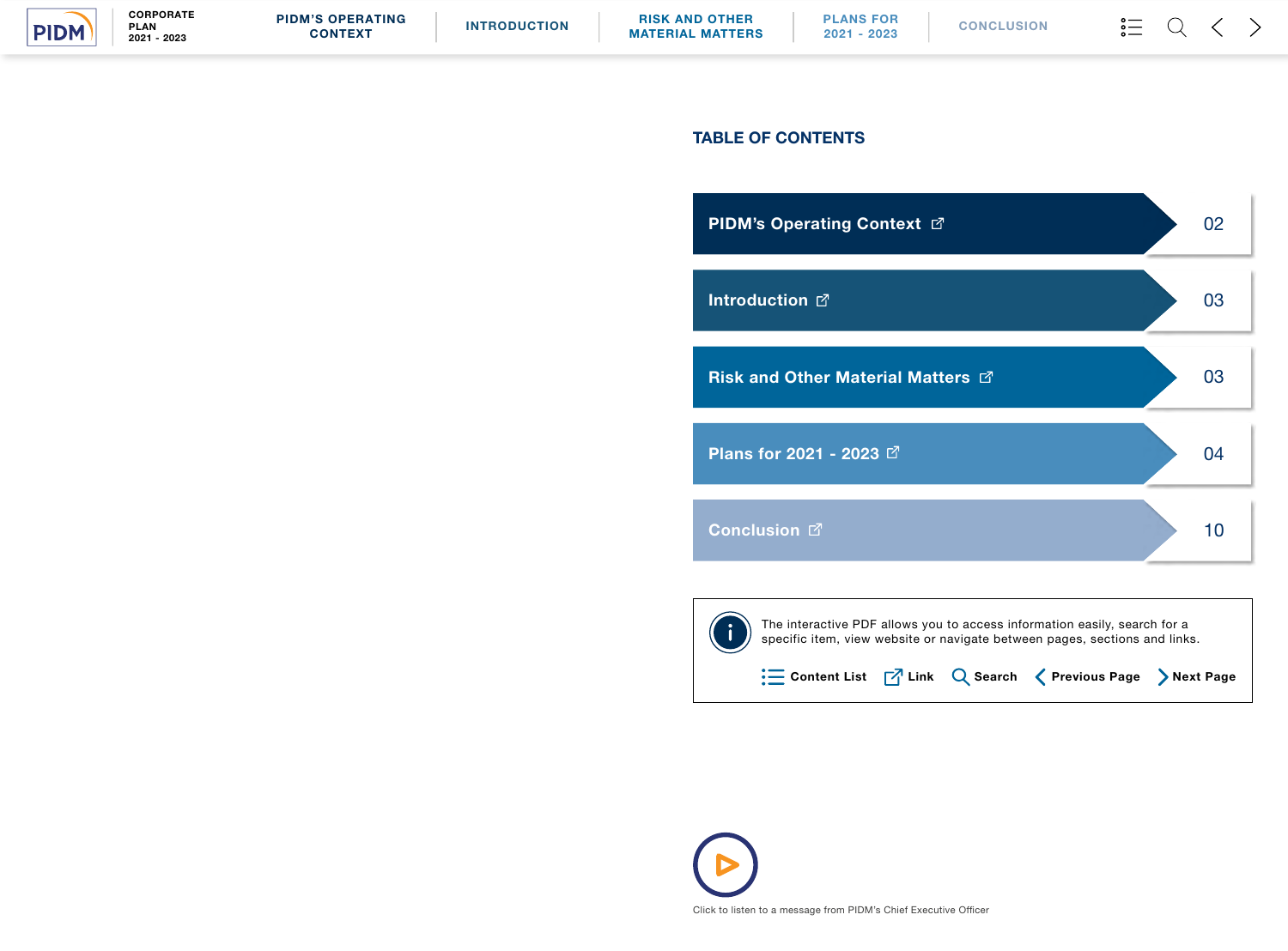# TABLE OF CONTENTS

**[PIDM's Operating Context](#page-2-0) <a>** 

[Introduction](#page-3-0)  $\mathbb{Z}$ 

Risk and Other [Material Matters](#page-3-0)  $\boxtimes$ 

[Plans for 2021 - 2023](#page-3-0) ₫

[Conclusion](#page-6-0)<sup>C</sup>







The interactive PDF allows you to access information easily, search for a specific item, view website or navigate between pages, sections and links.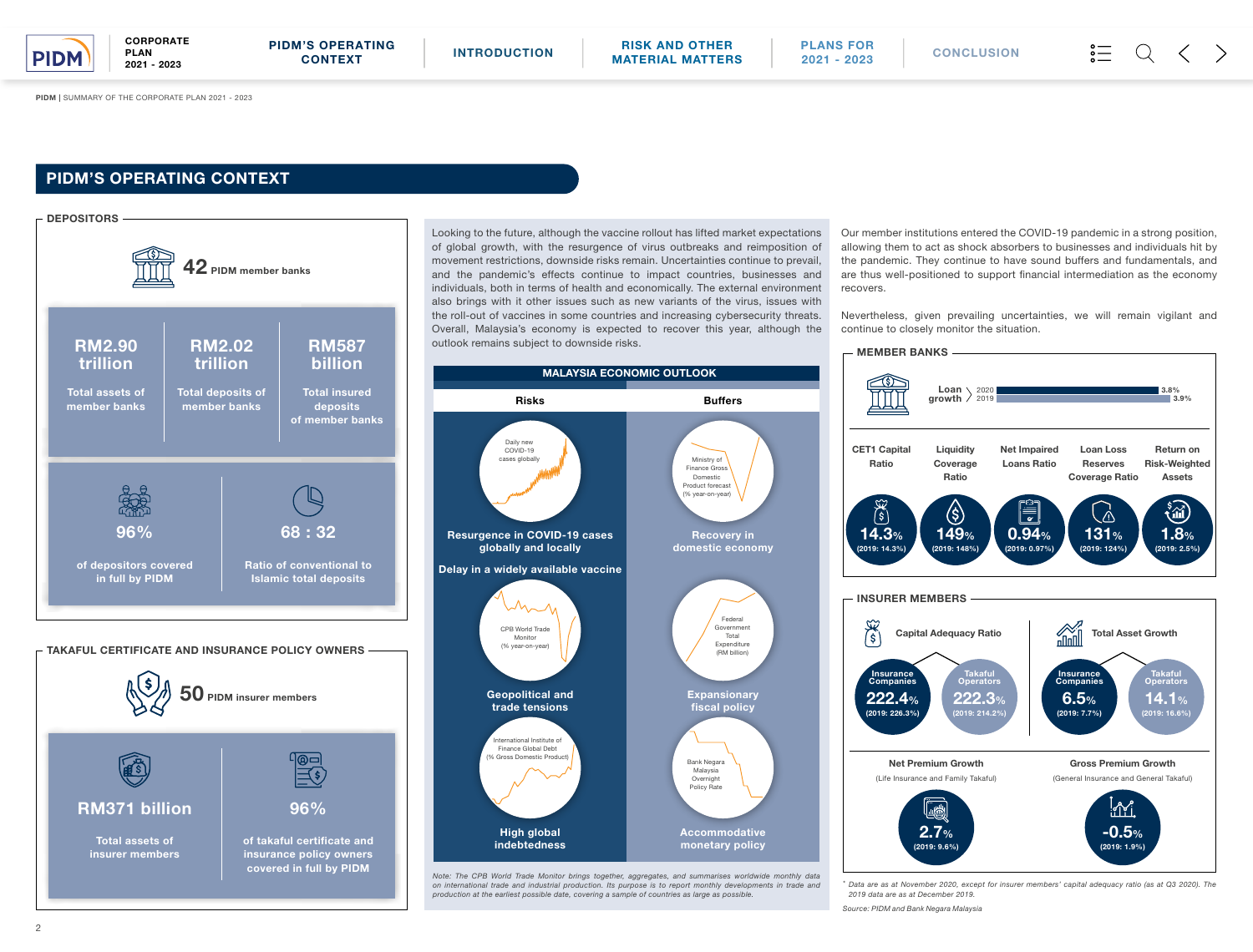PIDM | SUMMARY OF THE CORPORATE PLAN 2021 - 2023

Looking to the future, although the vaccine rollout has lifted market expectations of global growth, with the resurgence of virus outbreaks and reimposition of movement restrictions, downside risks remain. Uncertainties continue to prevail, and the pandemic's effects continue to impact countries, businesses and individuals, both in terms of health and economically. The external environment also brings with it other issues such as new variants of the virus, issues with the roll-out of vaccines in some countries and increasing cybersecurity threats. Overall, Malaysia's economy is expected to recover this year, although the



**CORPORATE** PLAN 2021 - 2023

> Our member institutions entered the COVID-19 pandemic in a strong position, allowing them to act as shock absorbers to businesses and individuals hit by the pandemic. They continue to have sound buffers and fundamentals, and are thus well-positioned to support financial intermediation as the economy recovers.

> Nevertheless, given prevailing uncertainties, we will remain vigilant and continue to closely monitor the situation.

*\* Data are as at November 2020, except for insurer members' capital adequacy ratio (as at Q3 2020). The 2019 data are as at December 2019.*



*on international trade and industrial production. Its purpose is to report monthly developments in trade and* 

*production at the earliest possible date, covering a sample of countries as large as possible.*

*Source: PIDM and Bank Negara Malaysia*

# PIDM'S OPERATING CONTEXT

<span id="page-2-0"></span>

CONTEXT [INTRODUCTION](#page-3-0) RISK AND OTHER [MATERIAL MATTERS](#page-3-0)

[PLANS FOR](#page-3-0) 2021 - 2023 [CONCLUSION](#page-6-0)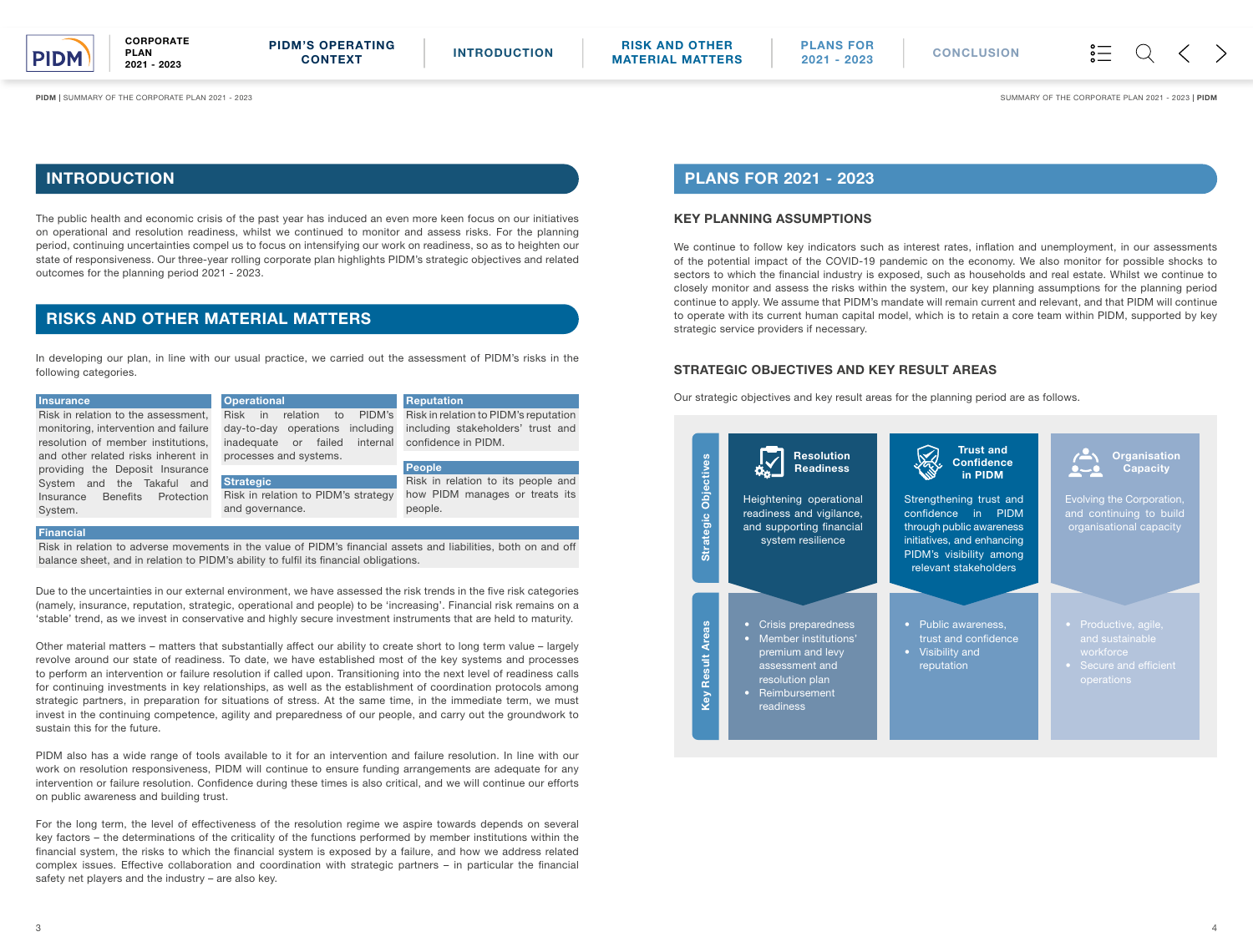### Due to the uncertainties in our external environment, we have assessed the risk trends in the five risk categories (namely, insurance, reputation, strategic, operational and people) to be 'increasing'. Financial risk remains on a

'stable' trend, as we invest in conservative and highly secure investment instruments that are held to maturity.

Other material matters – matters that substantially affect our ability to create short to long term value – largely revolve around our state of readiness. To date, we have established most of the key systems and processes to perform an intervention or failure resolution if called upon. Transitioning into the next level of readiness calls for continuing investments in key relationships, as well as the establishment of coordination protocols among strategic partners, in preparation for situations of stress. At the same time, in the immediate term, we must invest in the continuing competence, agility and preparedness of our people, and carry out the groundwork to sustain this for the future.

PIDM also has a wide range of tools available to it for an intervention and failure resolution. In line with our work on resolution responsiveness, PIDM will continue to ensure funding arrangements are adequate for any intervention or failure resolution. Confidence during these times is also critical, and we will continue our efforts on public awareness and building trust.

For the long term, the level of effectiveness of the resolution regime we aspire towards depends on several key factors – the determinations of the criticality of the functions performed by member institutions within the financial system, the risks to which the financial system is exposed by a failure, and how we address related complex issues. Effective collaboration and coordination with strategic partners – in particular the financial safety net players and the industry – are also key.

### KEY PLANNING ASSUMPTIONS

| <b>Insurance</b>                                                                                               | <b>Operational</b>                  | Reputation                            |  |  |
|----------------------------------------------------------------------------------------------------------------|-------------------------------------|---------------------------------------|--|--|
| Risk in relation to the assessment,                                                                            | PIDM's<br>Risk in<br>relation<br>to | Risk in relation to PIDM's reputation |  |  |
| monitoring, intervention and failure                                                                           | day-to-day operations including     | including stakeholders' trust and     |  |  |
| resolution of member institutions,                                                                             | internal<br>inadequate or failed    | confidence in PIDM.                   |  |  |
| and other related risks inherent in                                                                            | processes and systems.              |                                       |  |  |
| providing the Deposit Insurance                                                                                |                                     | People                                |  |  |
| System and the Takaful and                                                                                     | <b>Strategic</b>                    | Risk in relation to its people and    |  |  |
| Insurance Benefits<br>Protection                                                                               | Risk in relation to PIDM's strategy | how PIDM manages or treats its        |  |  |
| System.                                                                                                        | and governance.                     | people.                               |  |  |
|                                                                                                                |                                     |                                       |  |  |
| <b>Financial</b>                                                                                               |                                     |                                       |  |  |
| Risk in relation to adverse movements in the value of PIDM's financial assets and liabilities, both on and off |                                     |                                       |  |  |
| balance sheet, and in relation to PIDM's ability to fulfil its financial obligations.                          |                                     |                                       |  |  |

We continue to follow key indicators such as interest rates, inflation and unemployment, in our assessments of the potential impact of the COVID-19 pandemic on the economy. We also monitor for possible shocks to sectors to which the financial industry is exposed, such as households and real estate. Whilst we continue to closely monitor and assess the risks within the system, our key planning assumptions for the planning period continue to apply. We assume that PIDM's mandate will remain current and relevant, and that PIDM will continue to operate with its current human capital model, which is to retain a core team within PIDM, supported by key strategic service providers if necessary.

## STRATEGIC OBJECTIVES AND KEY RESULT AREAS

Our strategic objectives and key result areas for the planning period are as follows.

The public health and economic crisis of the past year has induced an even more keen focus on our initiatives on operational and resolution readiness, whilst we continued to monitor and assess risks. For the planning period, continuing uncertainties compel us to focus on intensifying our work on readiness, so as to heighten our state of responsiveness. Our three-year rolling corporate plan highlights PIDM's strategic objectives and related outcomes for the planning period 2021 - 2023.

## INTRODUCTION PLANS FOR 2021 - 2023

## RISKS AND OTHER MATERIAL MATTERS

In developing our plan, in line with our usual practice, we carried out the assessment of PIDM's risks in the following categories.



PLAN 2021 - 2023

**CORPORATE** 

<span id="page-3-0"></span>

PIDM | SUMMARY OF THE CORPORATE PLAN 2021 - 2023 | PIDM | SUMMARY OF THE CORPORATE PLAN 2021 - 2023 | PIDM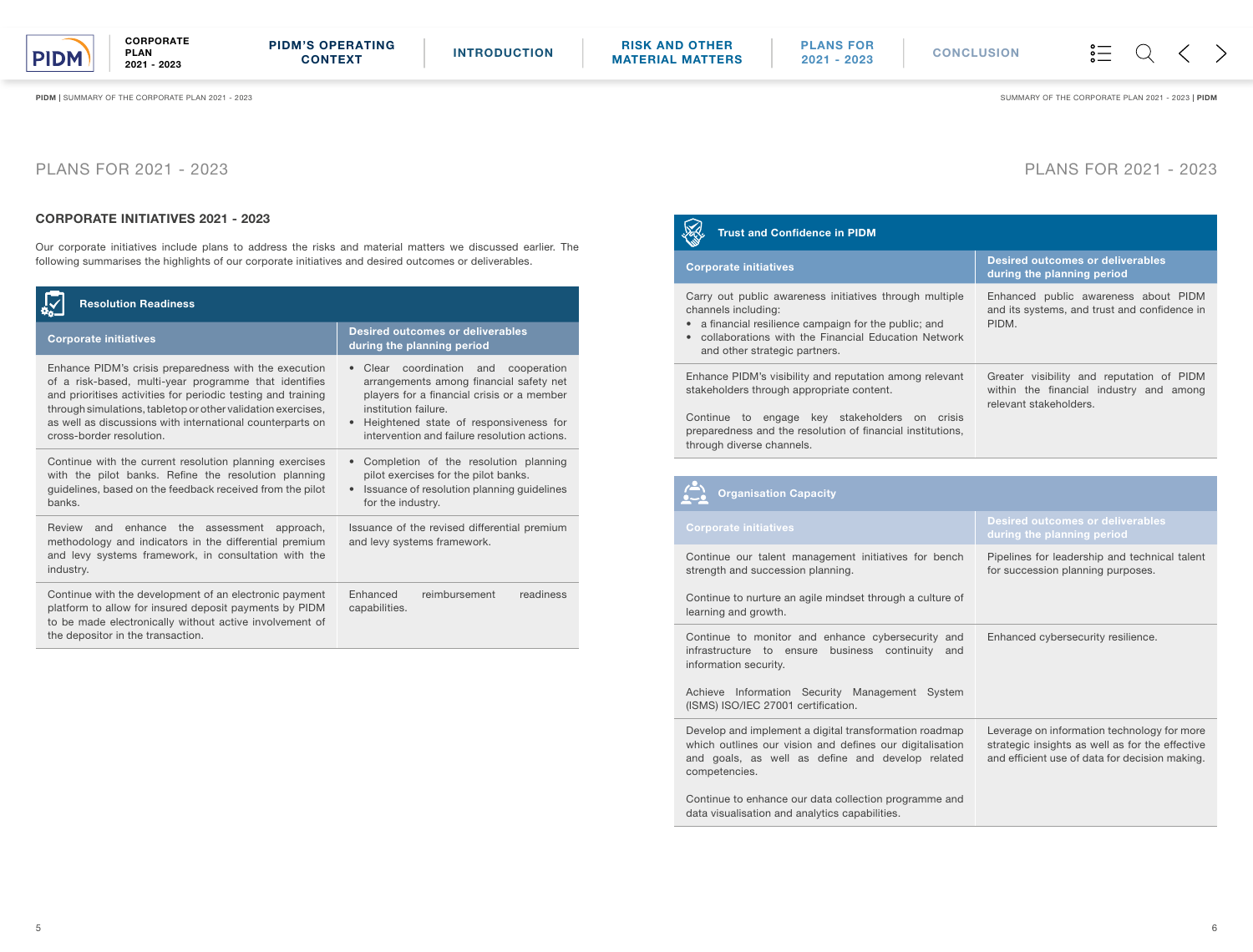### CORPORATE INITIATIVES 2021 - 2023

Our corporate initiatives include plans to address the risks and material matters we discussed earlier. The following summarises the highlights of our corporate initiatives and desired outcomes or deliverables.

# PLANS FOR 2021 - 2023

#### XX Trust and Confidence in PIDM

### **Corporate initiatives**

Carry out public awareness initiatives through multi channels including:

| <b>Resolution Readiness</b>                                                                                                                                                                                                                                                                                                             |                                                                                                                                                                                                                                                               |  |
|-----------------------------------------------------------------------------------------------------------------------------------------------------------------------------------------------------------------------------------------------------------------------------------------------------------------------------------------|---------------------------------------------------------------------------------------------------------------------------------------------------------------------------------------------------------------------------------------------------------------|--|
| <b>Corporate initiatives</b>                                                                                                                                                                                                                                                                                                            | <b>Desired outcomes or deliverables</b><br>during the planning period                                                                                                                                                                                         |  |
| Enhance PIDM's crisis preparedness with the execution<br>of a risk-based, multi-year programme that identifies<br>and prioritises activities for periodic testing and training<br>through simulations, tabletop or other validation exercises,<br>as well as discussions with international counterparts on<br>cross-border resolution. | Clear coordination and<br>cooperation<br>$\bullet$<br>arrangements among financial safety net<br>players for a financial crisis or a member<br>institution failure.<br>Heightened state of responsiveness for<br>intervention and failure resolution actions. |  |
| Continue with the current resolution planning exercises<br>with the pilot banks. Refine the resolution planning<br>guidelines, based on the feedback received from the pilot<br>banks.                                                                                                                                                  | Completion of the resolution planning<br>$\bullet$<br>pilot exercises for the pilot banks.<br>Issuance of resolution planning guidelines<br>$\bullet$<br>for the industry.                                                                                    |  |
| Review<br>enhance<br>and<br>the assessment approach,<br>methodology and indicators in the differential premium<br>and levy systems framework, in consultation with the<br>industry.                                                                                                                                                     | Issuance of the revised differential premium<br>and levy systems framework.                                                                                                                                                                                   |  |
| Continue with the development of an electronic payment<br>platform to allow for insured deposit payments by PIDM<br>to be made electronically without active involvement of<br>the depositor in the transaction.                                                                                                                        | Enhanced<br>reimbursement<br>readiness<br>capabilities.                                                                                                                                                                                                       |  |

Enhance PIDM's visibility and reputation among relev stakeholders through appropriate content.

Continue to engage key stakeholders on cri preparedness and the resolution of financial institution through diverse channels.



Continue our talent management initiatives for ben strength and succession planning.

Continue to nurture an agile mindset through a culture learning and growth.

Continue to monitor and enhance cybersecurity infrastructure to ensure business continuity information security.

Achieve Information Security Management Syst (ISMS) ISO/IEC 27001 certification.

Develop and implement a digital transformation roadn which outlines our vision and defines our digitalisat and goals, as well as define and develop rela competencies.

Continue to enhance our data collection programme data visualisation and analytics capabilities.

PIDM | SUMMARY OF THE CORPORATE PLAN 2021 - 2023 | PIDM SUMMARY OF THE CORPORATE PLAN 2021 - 2023 | PIDM

# PLANS FOR 2021 - 2023

- a financial resilience campaign for the public; and
- collaborations with the Financial Education Netw and other strategic partners.

|             | <b>Desired outcomes or deliverables</b><br>during the planning period                                          |
|-------------|----------------------------------------------------------------------------------------------------------------|
| iple        | Enhanced public awareness about PIDM<br>and its systems, and trust and confidence in<br>PIDM.                  |
| ork         |                                                                                                                |
| ant         | Greater visibility and reputation of PIDM<br>within the financial industry and among<br>relevant stakeholders. |
| isis<br>ns, |                                                                                                                |

### Organisation Capacity

|                     | <b>Desired outcomes or deliverables</b><br>during the planning period                                                                            |
|---------------------|--------------------------------------------------------------------------------------------------------------------------------------------------|
| nch<br>e of         | Pipelines for leadership and technical talent<br>for succession planning purposes.                                                               |
| and<br>and<br>tem   | Enhanced cybersecurity resilience.                                                                                                               |
| nap<br>tion<br>ited | Leverage on information technology for more<br>strategic insights as well as for the effective<br>and efficient use of data for decision making. |
| and                 |                                                                                                                                                  |

PLAN 2021 - 2023

**CORPORATE** 

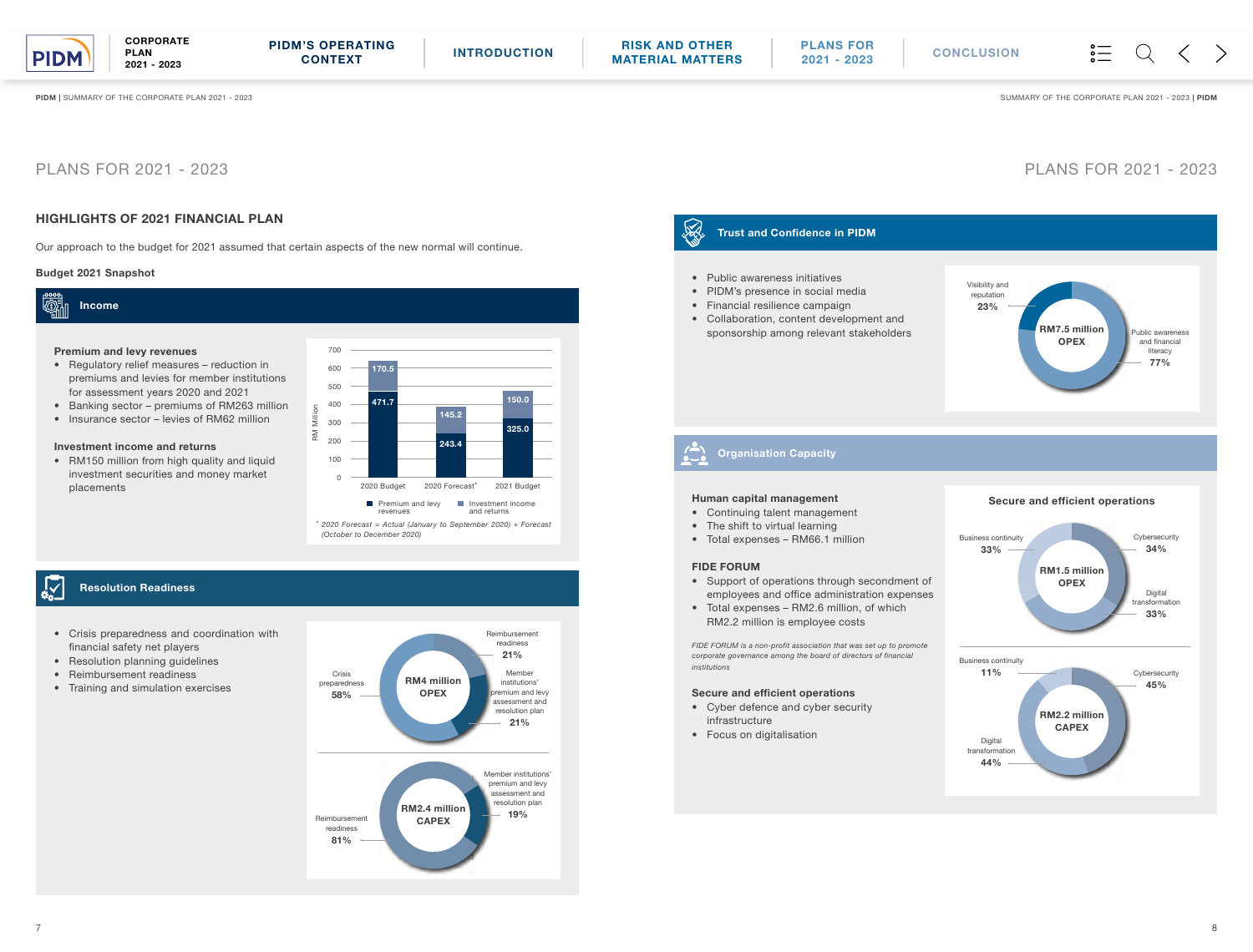## HIGHLIGHTS OF 2021 FINANCIAL PLAN

Our approach to the budget for 2021 assumed that certain aspects of the new normal will continue.

#### 2 Trust and Confidence in PIDM

- Public awareness initiatives
- PIDM's presence in social media
- Financial resilience campaign
- Collaboration, content development and sponsorship among relevant stakeholders



# PLANS FOR 2021 - 2023 PLANS FOR 2021 - 2023

#### Human capital management

- Continuing talent management
- The shift to virtual learning
- Total expenses RM66.1 million

#### FIDE FORUM

- Support of operations through secondment of employees and office administration expenses
- Total expenses RM2.6 million, of which RM2.2 million is employee costs



• RM150 million from high quality and liquid investment securities and money market placements

#### $\frac{1}{\alpha_0}$ Resolution Readiness

*FIDE FORUM is a non-profit association that was set up to promote corporate governance among the board of directors of financial institutions*

#### Secure and efficient operations

- Cyber defence and cyber security infrastructure
- Focus on digitalisation

 $\frac{1}{2}$  $\langle$ 

PIDM | SUMMARY OF THE CORPORATE PLAN 2021 - 2023 | PIDM SUMMARY OF THE CORPORATE PLAN 2021 - 2023 | PIDM

**CORPORATE** PLAN 2021 - 2023

Organisation Capacity

### Budget 2021 Snapshot



#### Premium and levy revenues

- Regulatory relief measures reduction in premiums and levies for member institutions for assessment years 2020 and 2021
- Banking sector premiums of RM263 million
- Insurance sector levies of RM62 million

#### Investment income and returns

*(October to December 2020)* 



- Crisis preparedness and coordination with financial safety net players
- Resolution planning guidelines
- Reimbursement readiness
- Training and simulation exercises



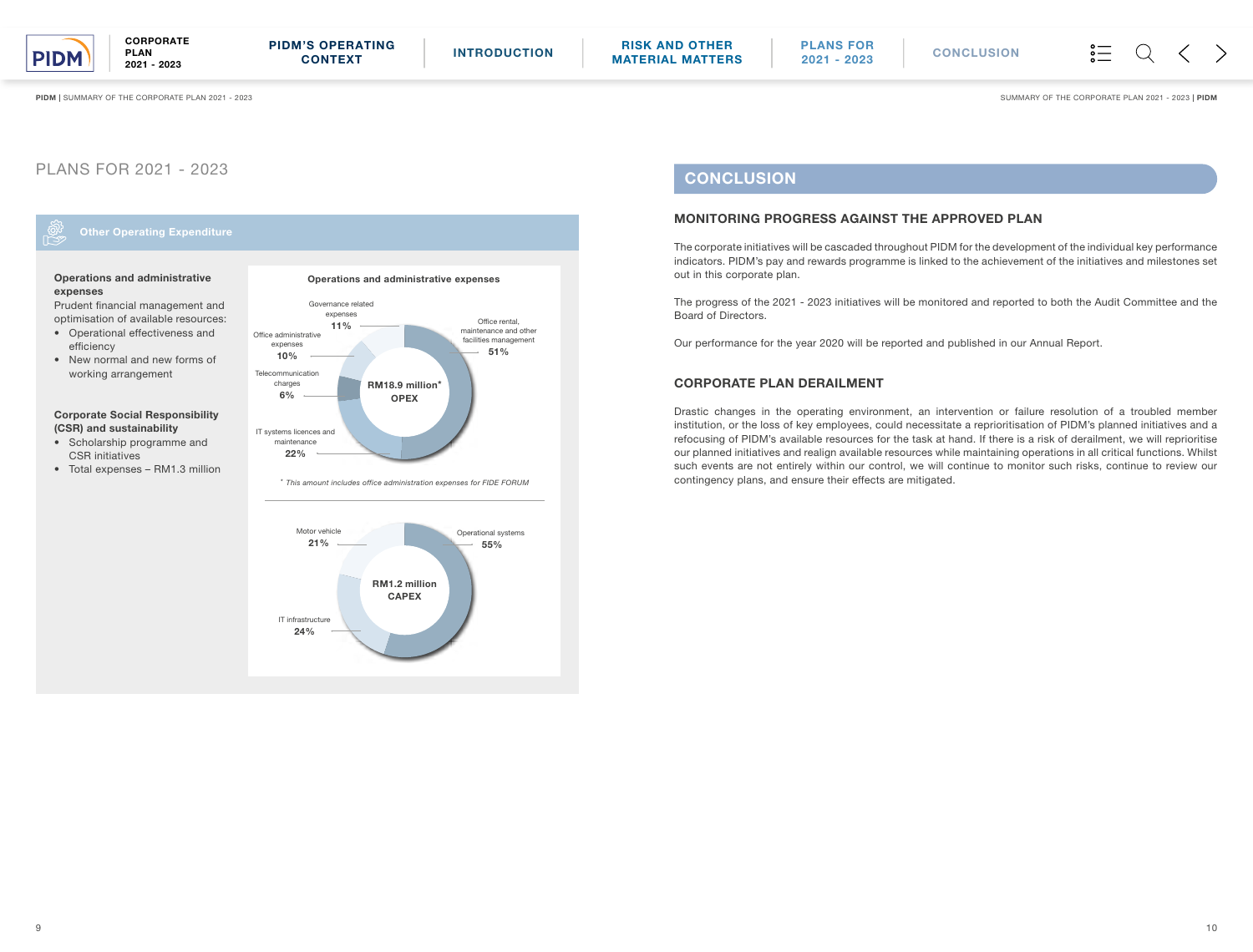### Operations and administrative expenses

Prudent financial management and optimisation of available resources:

- Operational effectiveness and efficiency
- New normal and new forms of working arrangement

#### Corporate Social Responsibility (CSR) and sustainability

- Scholarship programme and CSR initiatives
- Total expenses RM1.3 million

## MONITORING PROGRESS AGAINST THE APPROVED PLAN

The corporate initiatives will be cascaded throughout PIDM for the development of the individual key performance indicators. PIDM's pay and rewards programme is linked to the achievement of the initiatives and milestones set out in this corporate plan.

**CORPORATE** PLAN 2021 - 2023

> The progress of the 2021 - 2023 initiatives will be monitored and reported to both the Audit Committee and the Board of Directors.



# **CONCLUSION**

Our performance for the year 2020 will be reported and published in our Annual Report.

### CORPORATE PLAN DERAILMENT

Drastic changes in the operating environment, an intervention or failure resolution of a troubled member institution, or the loss of key employees, could necessitate a reprioritisation of PIDM's planned initiatives and a refocusing of PIDM's available resources for the task at hand. If there is a risk of derailment, we will reprioritise our planned initiatives and realign available resources while maintaining operations in all critical functions. Whilst such events are not entirely within our control, we will continue to monitor such risks, continue to review our contingency plans, and ensure their effects are mitigated.

PIDM | SUMMARY OF THE CORPORATE PLAN 2021 - 2023 | PIDM SUMMARY OF THE CORPORATE PLAN 2021 - 2023 | PIDM

# PLANS FOR 2021 - 2023

Other Operating Expenditure

<span id="page-6-0"></span>